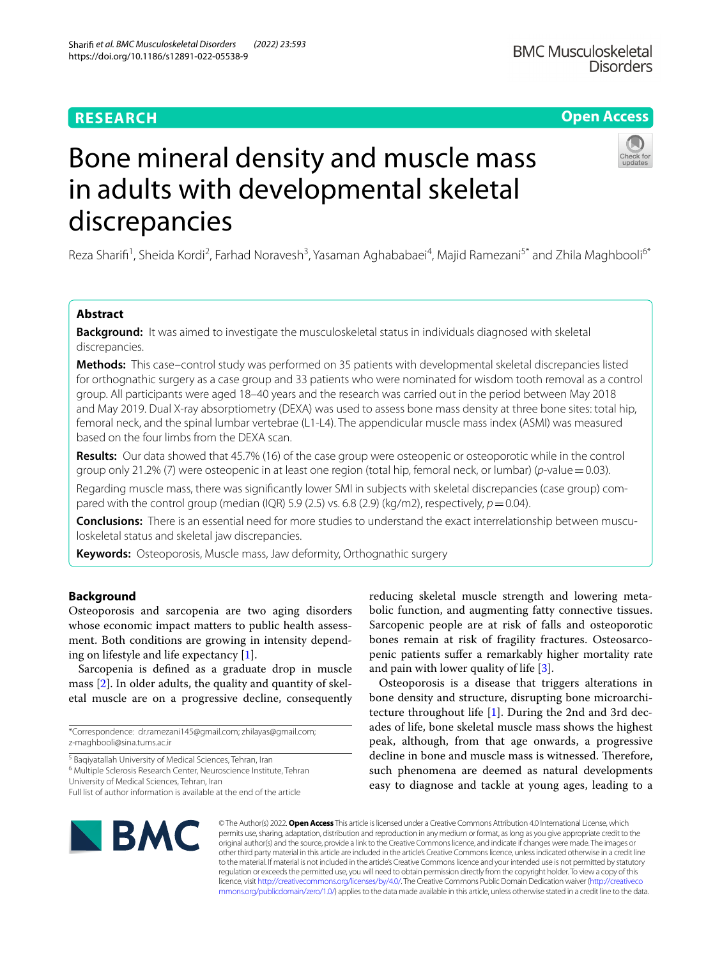## **RESEARCH**

## **Open Access**

# Bone mineral density and muscle mass in adults with developmental skeletal discrepancies

Reza Sharifi<sup>1</sup>, Sheida Kordi<sup>2</sup>, Farhad Noravesh<sup>3</sup>, Yasaman Aghababaei<sup>4</sup>, Majid Ramezani<sup>5\*</sup> and Zhila Maghbooli<sup>6\*</sup>

### **Abstract**

**Background:** It was aimed to investigate the musculoskeletal status in individuals diagnosed with skeletal discrepancies.

**Methods:** This case–control study was performed on 35 patients with developmental skeletal discrepancies listed for orthognathic surgery as a case group and 33 patients who were nominated for wisdom tooth removal as a control group. All participants were aged 18–40 years and the research was carried out in the period between May 2018 and May 2019. Dual X-ray absorptiometry (DEXA) was used to assess bone mass density at three bone sites: total hip, femoral neck, and the spinal lumbar vertebrae (L1-L4). The appendicular muscle mass index (ASMI) was measured based on the four limbs from the DEXA scan.

**Results:** Our data showed that 45.7% (16) of the case group were osteopenic or osteoporotic while in the control group only 21.2% (7) were osteopenic in at least one region (total hip, femoral neck, or lumbar) (*p*-value=0.03).

Regarding muscle mass, there was signifcantly lower SMI in subjects with skeletal discrepancies (case group) compared with the control group (median (IQR) 5.9 (2.5) vs. 6.8 (2.9) (kg/m2), respectively,  $p = 0.04$ ).

**Conclusions:** There is an essential need for more studies to understand the exact interrelationship between musculoskeletal status and skeletal jaw discrepancies.

**Keywords:** Osteoporosis, Muscle mass, Jaw deformity, Orthognathic surgery

#### **Background**

Osteoporosis and sarcopenia are two aging disorders whose economic impact matters to public health assessment. Both conditions are growing in intensity depending on lifestyle and life expectancy [[1\]](#page-4-0).

Sarcopenia is defned as a graduate drop in muscle mass [[2\]](#page-4-1). In older adults, the quality and quantity of skeletal muscle are on a progressive decline, consequently

<sup>5</sup> Baqiyatallah University of Medical Sciences, Tehran, Iran

<sup>6</sup> Multiple Sclerosis Research Center, Neuroscience Institute, Tehran University of Medical Sciences, Tehran, Iran

reducing skeletal muscle strength and lowering metabolic function, and augmenting fatty connective tissues. Sarcopenic people are at risk of falls and osteoporotic bones remain at risk of fragility fractures. Osteosarcopenic patients sufer a remarkably higher mortality rate and pain with lower quality of life [[3\]](#page-4-2).

Osteoporosis is a disease that triggers alterations in bone density and structure, disrupting bone microarchitecture throughout life [\[1](#page-4-0)]. During the 2nd and 3rd decades of life, bone skeletal muscle mass shows the highest peak, although, from that age onwards, a progressive decline in bone and muscle mass is witnessed. Therefore, such phenomena are deemed as natural developments easy to diagnose and tackle at young ages, leading to a



© The Author(s) 2022. **Open Access** This article is licensed under a Creative Commons Attribution 4.0 International License, which permits use, sharing, adaptation, distribution and reproduction in any medium or format, as long as you give appropriate credit to the original author(s) and the source, provide a link to the Creative Commons licence, and indicate if changes were made. The images or other third party material in this article are included in the article's Creative Commons licence, unless indicated otherwise in a credit line to the material. If material is not included in the article's Creative Commons licence and your intended use is not permitted by statutory regulation or exceeds the permitted use, you will need to obtain permission directly from the copyright holder. To view a copy of this licence, visit [http://creativecommons.org/licenses/by/4.0/.](http://creativecommons.org/licenses/by/4.0/) The Creative Commons Public Domain Dedication waiver ([http://creativeco](http://creativecommons.org/publicdomain/zero/1.0/) [mmons.org/publicdomain/zero/1.0/](http://creativecommons.org/publicdomain/zero/1.0/)) applies to the data made available in this article, unless otherwise stated in a credit line to the data.

<sup>\*</sup>Correspondence: dr.ramezani145@gmail.com; zhilayas@gmail.com; z-maghbooli@sina.tums.ac.ir

Full list of author information is available at the end of the article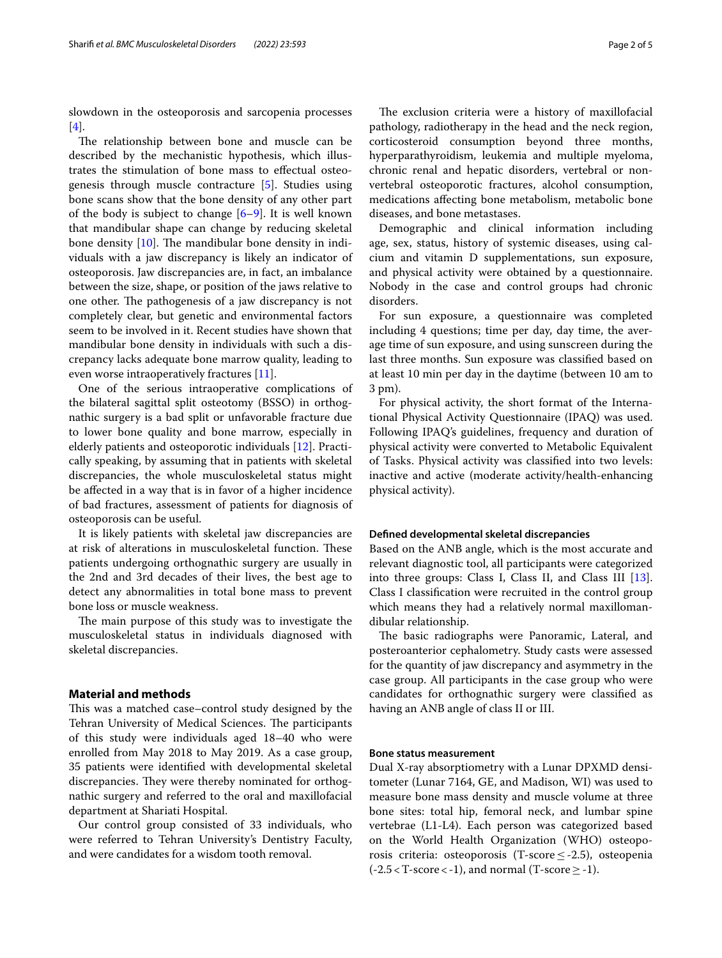slowdown in the osteoporosis and sarcopenia processes [[4\]](#page-4-3).

The relationship between bone and muscle can be described by the mechanistic hypothesis, which illustrates the stimulation of bone mass to efectual osteogenesis through muscle contracture [[5](#page-4-4)]. Studies using bone scans show that the bone density of any other part of the body is subject to change  $[6-9]$  $[6-9]$ . It is well known that mandibular shape can change by reducing skeletal bone density  $[10]$  $[10]$ . The mandibular bone density in individuals with a jaw discrepancy is likely an indicator of osteoporosis. Jaw discrepancies are, in fact, an imbalance between the size, shape, or position of the jaws relative to one other. The pathogenesis of a jaw discrepancy is not completely clear, but genetic and environmental factors seem to be involved in it. Recent studies have shown that mandibular bone density in individuals with such a discrepancy lacks adequate bone marrow quality, leading to even worse intraoperatively fractures [\[11\]](#page-4-8).

One of the serious intraoperative complications of the bilateral sagittal split osteotomy (BSSO) in orthognathic surgery is a bad split or unfavorable fracture due to lower bone quality and bone marrow, especially in elderly patients and osteoporotic individuals [[12\]](#page-4-9). Practically speaking, by assuming that in patients with skeletal discrepancies, the whole musculoskeletal status might be afected in a way that is in favor of a higher incidence of bad fractures, assessment of patients for diagnosis of osteoporosis can be useful.

It is likely patients with skeletal jaw discrepancies are at risk of alterations in musculoskeletal function. These patients undergoing orthognathic surgery are usually in the 2nd and 3rd decades of their lives, the best age to detect any abnormalities in total bone mass to prevent bone loss or muscle weakness.

The main purpose of this study was to investigate the musculoskeletal status in individuals diagnosed with skeletal discrepancies.

#### **Material and methods**

This was a matched case–control study designed by the Tehran University of Medical Sciences. The participants of this study were individuals aged 18–40 who were enrolled from May 2018 to May 2019. As a case group, 35 patients were identifed with developmental skeletal discrepancies. They were thereby nominated for orthognathic surgery and referred to the oral and maxillofacial department at Shariati Hospital.

Our control group consisted of 33 individuals, who were referred to Tehran University's Dentistry Faculty, and were candidates for a wisdom tooth removal.

The exclusion criteria were a history of maxillofacial pathology, radiotherapy in the head and the neck region, corticosteroid consumption beyond three months, hyperparathyroidism, leukemia and multiple myeloma, chronic renal and hepatic disorders, vertebral or nonvertebral osteoporotic fractures, alcohol consumption, medications afecting bone metabolism, metabolic bone diseases, and bone metastases.

Demographic and clinical information including age, sex, status, history of systemic diseases, using calcium and vitamin D supplementations, sun exposure, and physical activity were obtained by a questionnaire. Nobody in the case and control groups had chronic disorders.

For sun exposure, a questionnaire was completed including 4 questions; time per day, day time, the average time of sun exposure, and using sunscreen during the last three months. Sun exposure was classifed based on at least 10 min per day in the daytime (between 10 am to 3 pm).

For physical activity, the short format of the International Physical Activity Questionnaire (IPAQ) was used. Following IPAQ's guidelines, frequency and duration of physical activity were converted to Metabolic Equivalent of Tasks. Physical activity was classifed into two levels: inactive and active (moderate activity/health-enhancing physical activity).

#### **Defned developmental skeletal discrepancies**

Based on the ANB angle, which is the most accurate and relevant diagnostic tool, all participants were categorized into three groups: Class I, Class II, and Class III [\[13](#page-4-10)]. Class I classifcation were recruited in the control group which means they had a relatively normal maxillomandibular relationship.

The basic radiographs were Panoramic, Lateral, and posteroanterior cephalometry. Study casts were assessed for the quantity of jaw discrepancy and asymmetry in the case group. All participants in the case group who were candidates for orthognathic surgery were classifed as having an ANB angle of class II or III.

#### **Bone status measurement**

Dual X-ray absorptiometry with a Lunar DPXMD densitometer (Lunar 7164, GE, and Madison, WI) was used to measure bone mass density and muscle volume at three bone sites: total hip, femoral neck, and lumbar spine vertebrae (L1-L4). Each person was categorized based on the World Health Organization (WHO) osteoporosis criteria: osteoporosis (T-score  $\leq$ -2.5), osteopenia  $(-2.5 < T-score < -1)$ , and normal (T-score  $\ge -1$ ).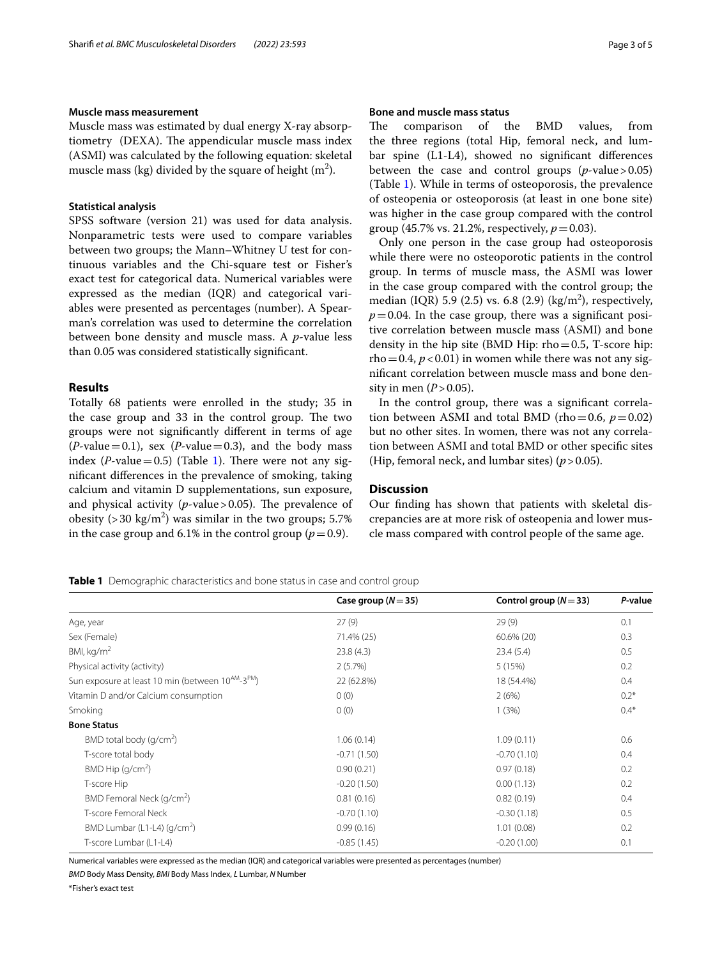#### **Muscle mass measurement**

Muscle mass was estimated by dual energy X-ray absorptiometry (DEXA). The appendicular muscle mass index (ASMI) was calculated by the following equation: skeletal muscle mass (kg) divided by the square of height (m $^2$ ).

#### **Statistical analysis**

SPSS software (version 21) was used for data analysis. Nonparametric tests were used to compare variables between two groups; the Mann–Whitney U test for continuous variables and the Chi-square test or Fisher's exact test for categorical data. Numerical variables were expressed as the median (IQR) and categorical variables were presented as percentages (number). A Spearman's correlation was used to determine the correlation between bone density and muscle mass. A *p*-value less than 0.05 was considered statistically signifcant.

#### **Results**

Totally 68 patients were enrolled in the study; 35 in the case group and 33 in the control group. The two groups were not signifcantly diferent in terms of age  $(P$ -value = 0.1), sex  $(P$ -value = 0.3), and the body mass index ( $P$ -value=0.5) (Table [1](#page-2-0)). There were not any signifcant diferences in the prevalence of smoking, taking calcium and vitamin D supplementations, sun exposure, and physical activity  $(p$ -value > 0.05). The prevalence of obesity (> 30 kg/m<sup>2</sup>) was similar in the two groups; 5.7% in the case group and 6.1% in the control group ( $p=0.9$ ).

#### **Bone and muscle mass status**

The comparison of the BMD values, from the three regions (total Hip, femoral neck, and lumbar spine (L1-L4), showed no signifcant diferences between the case and control groups  $(p$ -value > 0.05) (Table [1\)](#page-2-0). While in terms of osteoporosis, the prevalence of osteopenia or osteoporosis (at least in one bone site) was higher in the case group compared with the control group (45.7% vs. 21.2%, respectively,  $p = 0.03$ ).

Only one person in the case group had osteoporosis while there were no osteoporotic patients in the control group. In terms of muscle mass, the ASMI was lower in the case group compared with the control group; the median (IQR) 5.9 (2.5) vs. 6.8 (2.9) (kg/m<sup>2</sup>), respectively,  $p=0.04$ . In the case group, there was a significant positive correlation between muscle mass (ASMI) and bone density in the hip site (BMD Hip:  $rho=0.5$ , T-score hip:  $rho=0.4$ ,  $p<0.01$ ) in women while there was not any signifcant correlation between muscle mass and bone density in men  $(P > 0.05)$ .

In the control group, there was a signifcant correlation between ASMI and total BMD (rho=0.6,  $p=0.02$ ) but no other sites. In women, there was not any correlation between ASMI and total BMD or other specifc sites (Hip, femoral neck, and lumbar sites)  $(p > 0.05)$ .

#### **Discussion**

Our fnding has shown that patients with skeletal discrepancies are at more risk of osteopenia and lower muscle mass compared with control people of the same age.

#### <span id="page-2-0"></span>**Table 1** Demographic characteristics and bone status in case and control group

|                                                                           | Case group ( $N = 35$ ) | Control group ( $N = 33$ ) | P-value |
|---------------------------------------------------------------------------|-------------------------|----------------------------|---------|
| Age, year                                                                 | 27(9)                   | 29(9)                      | 0.1     |
| Sex (Female)                                                              | 71.4% (25)              | $60.6\%$ (20)              | 0.3     |
| BMI, $kg/m2$                                                              | 23.8(4.3)               | 23.4(5.4)                  | 0.5     |
| Physical activity (activity)                                              | 2(5.7%)                 | 5(15%)                     | 0.2     |
| Sun exposure at least 10 min (between 10 <sup>AM</sup> -3 <sup>PM</sup> ) | 22 (62.8%)              | 18 (54.4%)                 | 0.4     |
| Vitamin D and/or Calcium consumption                                      | 0(0)                    | 2(6%)                      | $0.2*$  |
| Smoking                                                                   | 0(0)                    | 1(3%)                      | $0.4*$  |
| <b>Bone Status</b>                                                        |                         |                            |         |
| BMD total body $(q/cm2)$                                                  | 1.06(0.14)              | 1.09(0.11)                 | 0.6     |
| T-score total body                                                        | $-0.71(1.50)$           | $-0.70(1.10)$              | 0.4     |
| BMD Hip $(q/cm2)$                                                         | 0.90(0.21)              | 0.97(0.18)                 | 0.2     |
| T-score Hip                                                               | $-0.20(1.50)$           | 0.00(1.13)                 | 0.2     |
| BMD Femoral Neck (g/cm <sup>2</sup> )                                     | 0.81(0.16)              | 0.82(0.19)                 | 0.4     |
| T-score Femoral Neck                                                      | $-0.70(1.10)$           | $-0.30(1.18)$              | 0.5     |
| BMD Lumbar (L1-L4) $(q/cm2)$                                              | 0.99(0.16)              | 1.01(0.08)                 | 0.2     |
| T-score Lumbar (L1-L4)                                                    | $-0.85(1.45)$           | $-0.20(1.00)$              | 0.1     |

Numerical variables were expressed as the median (IQR) and categorical variables were presented as percentages (number)

*BMD* Body Mass Density, *BMI* Body Mass Index, *L* Lumbar, *N* Number

\*Fisher's exact test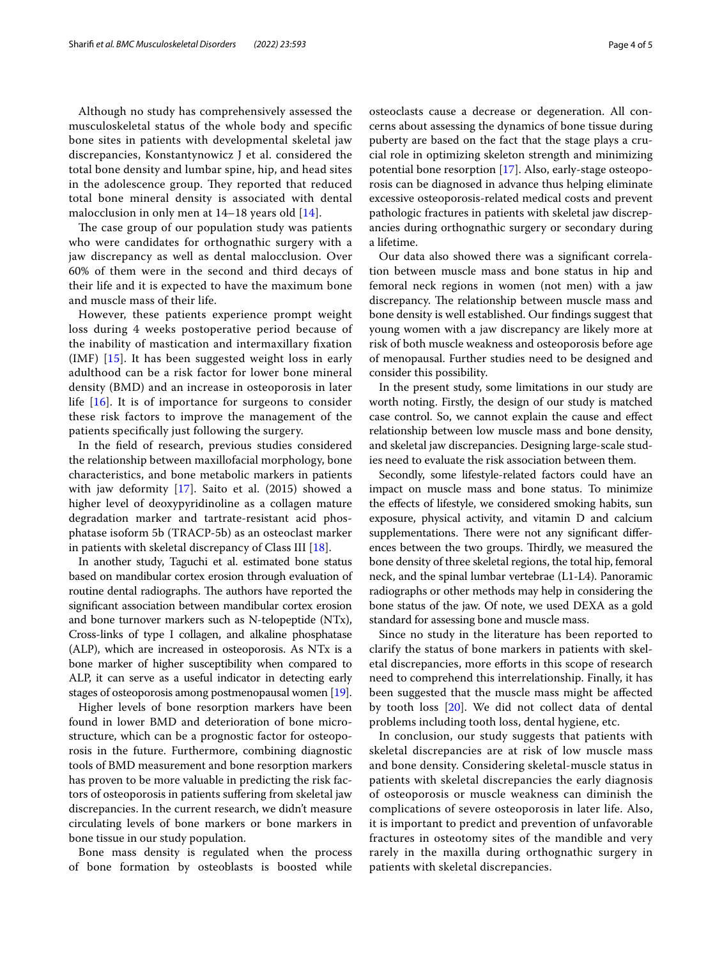Although no study has comprehensively assessed the musculoskeletal status of the whole body and specifc bone sites in patients with developmental skeletal jaw discrepancies, Konstantynowicz J et al. considered the total bone density and lumbar spine, hip, and head sites in the adolescence group. They reported that reduced total bone mineral density is associated with dental malocclusion in only men at 14–18 years old [[14\]](#page-4-11).

The case group of our population study was patients who were candidates for orthognathic surgery with a jaw discrepancy as well as dental malocclusion. Over 60% of them were in the second and third decays of their life and it is expected to have the maximum bone and muscle mass of their life.

However, these patients experience prompt weight loss during 4 weeks postoperative period because of the inability of mastication and intermaxillary fxation (IMF) [[15\]](#page-4-12). It has been suggested weight loss in early adulthood can be a risk factor for lower bone mineral density (BMD) and an increase in osteoporosis in later life [\[16](#page-4-13)]. It is of importance for surgeons to consider these risk factors to improve the management of the patients specifcally just following the surgery.

In the feld of research, previous studies considered the relationship between maxillofacial morphology, bone characteristics, and bone metabolic markers in patients with jaw deformity [[17\]](#page-4-14). Saito et al. (2015) showed a higher level of deoxypyridinoline as a collagen mature degradation marker and tartrate-resistant acid phosphatase isoform 5b (TRACP-5b) as an osteoclast marker in patients with skeletal discrepancy of Class III [\[18](#page-4-15)].

In another study, Taguchi et al. estimated bone status based on mandibular cortex erosion through evaluation of routine dental radiographs. The authors have reported the signifcant association between mandibular cortex erosion and bone turnover markers such as N-telopeptide (NTx), Cross-links of type I collagen, and alkaline phosphatase (ALP), which are increased in osteoporosis. As NTx is a bone marker of higher susceptibility when compared to ALP, it can serve as a useful indicator in detecting early stages of osteoporosis among postmenopausal women [[19](#page-4-16)].

Higher levels of bone resorption markers have been found in lower BMD and deterioration of bone microstructure, which can be a prognostic factor for osteoporosis in the future. Furthermore, combining diagnostic tools of BMD measurement and bone resorption markers has proven to be more valuable in predicting the risk factors of osteoporosis in patients sufering from skeletal jaw discrepancies. In the current research, we didn't measure circulating levels of bone markers or bone markers in bone tissue in our study population.

Bone mass density is regulated when the process of bone formation by osteoblasts is boosted while osteoclasts cause a decrease or degeneration. All concerns about assessing the dynamics of bone tissue during puberty are based on the fact that the stage plays a crucial role in optimizing skeleton strength and minimizing potential bone resorption [[17\]](#page-4-14). Also, early-stage osteoporosis can be diagnosed in advance thus helping eliminate excessive osteoporosis-related medical costs and prevent pathologic fractures in patients with skeletal jaw discrepancies during orthognathic surgery or secondary during a lifetime.

Our data also showed there was a signifcant correlation between muscle mass and bone status in hip and femoral neck regions in women (not men) with a jaw discrepancy. The relationship between muscle mass and bone density is well established. Our fndings suggest that young women with a jaw discrepancy are likely more at risk of both muscle weakness and osteoporosis before age of menopausal. Further studies need to be designed and consider this possibility.

In the present study, some limitations in our study are worth noting. Firstly, the design of our study is matched case control. So, we cannot explain the cause and efect relationship between low muscle mass and bone density, and skeletal jaw discrepancies. Designing large-scale studies need to evaluate the risk association between them.

Secondly, some lifestyle-related factors could have an impact on muscle mass and bone status. To minimize the efects of lifestyle, we considered smoking habits, sun exposure, physical activity, and vitamin D and calcium supplementations. There were not any significant differences between the two groups. Thirdly, we measured the bone density of three skeletal regions, the total hip, femoral neck, and the spinal lumbar vertebrae (L1-L4). Panoramic radiographs or other methods may help in considering the bone status of the jaw. Of note, we used DEXA as a gold standard for assessing bone and muscle mass.

Since no study in the literature has been reported to clarify the status of bone markers in patients with skeletal discrepancies, more eforts in this scope of research need to comprehend this interrelationship. Finally, it has been suggested that the muscle mass might be afected by tooth loss [[20\]](#page-4-17). We did not collect data of dental problems including tooth loss, dental hygiene, etc.

In conclusion, our study suggests that patients with skeletal discrepancies are at risk of low muscle mass and bone density. Considering skeletal-muscle status in patients with skeletal discrepancies the early diagnosis of osteoporosis or muscle weakness can diminish the complications of severe osteoporosis in later life. Also, it is important to predict and prevention of unfavorable fractures in osteotomy sites of the mandible and very rarely in the maxilla during orthognathic surgery in patients with skeletal discrepancies.